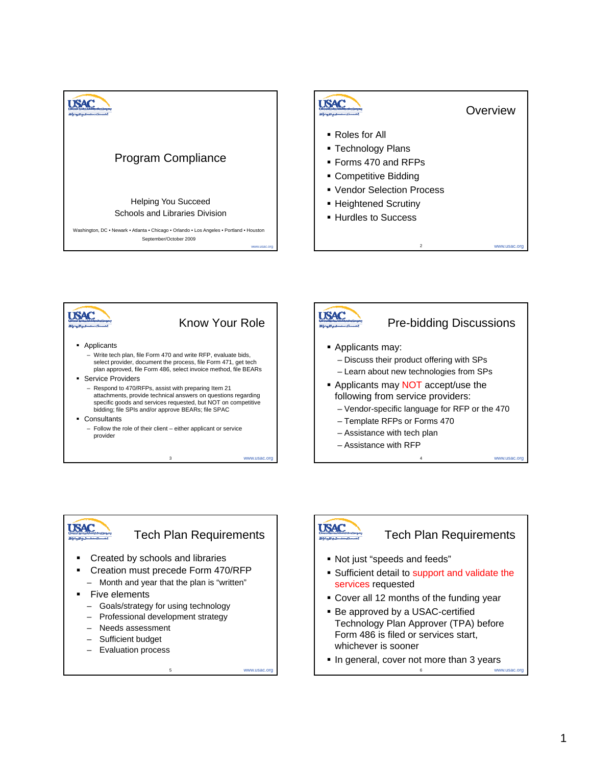







Tech Plan Requirements

www.usac.org

- **•** Created by schools and libraries
- Creation must precede Form 470/RFP
- Month and year that the plan is "written"
- **Five elements** 
	- Goals/strategy for using technology
	- Professional development strategy
	- Needs assessment
	- Sufficient budget
	- Evaluation process

**USAC** 

#### Tech Plan Requirements

- Not just "speeds and feeds"
- Sufficient detail to support and validate the services requested
- Cover all 12 months of the funding year
- **Be approved by a USAC-certified** Technology Plan Approver (TPA) before Form 486 is filed or services start, whichever is sooner
- In general, cover not more than 3 years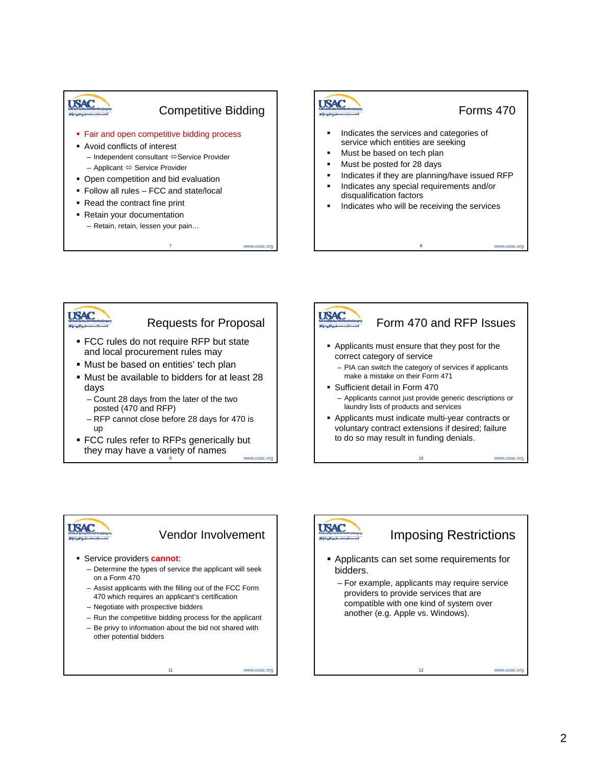

7 www.usac.org





- Must be available to bidders for at least 28 days
	- Count 28 days from the later of the two posted (470 and RFP)
	- RFP cannot close before 28 days for 470 is up
- 9 www.usac.org FCC rules refer to RFPs generically but they may have a variety of names



# **USAC**

#### Vendor Involvement

11 www.usac.org

- Service providers **cannot**:
	- Determine the types of service the applicant will seek on a Form 470
	- Assist applicants with the filling out of the FCC Form 470 which requires an applicant's certification
	- Negotiate with prospective bidders
	- Run the competitive bidding process for the applicant
	- Be privy to information about the bid not shared with other potential bidders



### Imposing Restrictions

- Applicants can set some requirements for bidders.
	- For example, applicants may require service providers to provide services that are providers to provide services that compatible with one kind of system over another (e.g. Apple vs. Windows).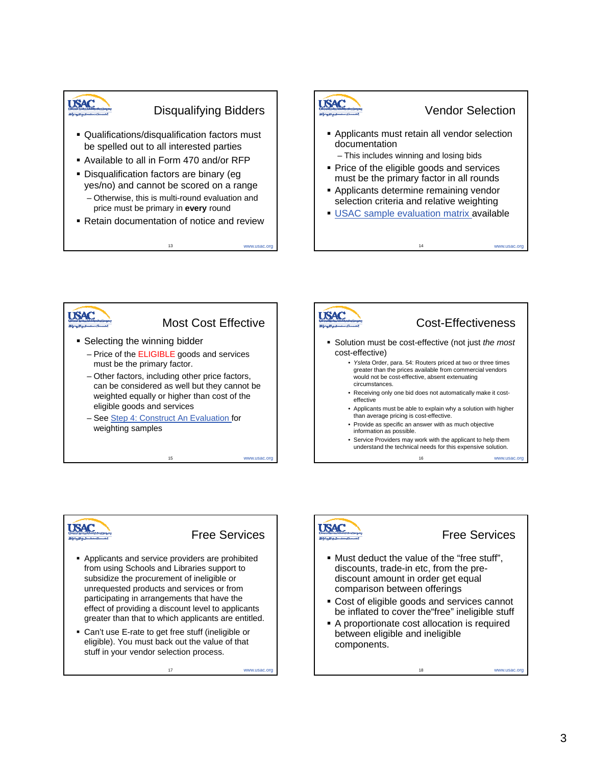## **USAC**

#### Disqualifying Bidders

- Qualifications/disqualification factors must be spelled out to all interested parties
- Available to all in Form 470 and/or RFP
- **Disqualification factors are binary (eg** yes/no) and cannot be scored on a range
	- Otherwise, this is multi-round evaluation and price must be primary in **every** round
- Retain documentation of notice and review

13







#### Free Services

17 www.usac.org

- Applicants and service providers are prohibited from using Schools and Libraries support to subsidize the procurement of ineligible or unrequested products and services or from participating in arrangements that have the effect of providing a discount level to applicants greater than that to which applicants are entitled.
- Can't use E-rate to get free stuff (ineligible or eligible). You must back out the value of that stuff in your vendor selection process.

#### Free Services

- Must deduct the value of the "free stuff", discounts, trade-in etc, from the prediscount amount in order get equal comparison between offerings
- **Cost of eligible goods and services cannot** be inflated to cover the"free" ineligible stuff
- A proportionate cost allocation is required between eligible and ineligible components.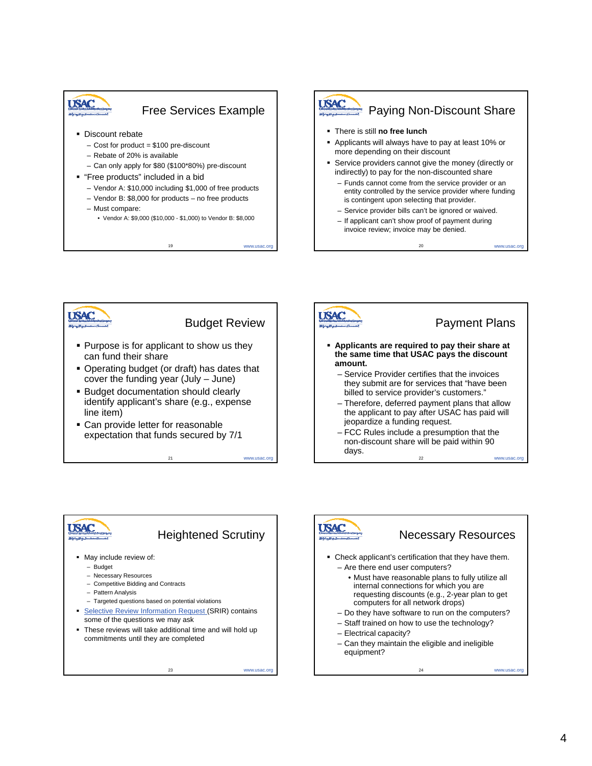





21 www.usac.org

23 www.usac.org



#### Payment Plans

- **Applicants are required to pay their share at the same time that USAC pays the discount** 
	- Service Provider certifies that the invoices they submit are for services that "have been billed to service provider's customers.'
	- Therefore, deferred payment plans that allow the applicant to pay after USAC has paid will jeopardize a funding request.
	- www.usac.org – FCC Rules include a presumption that the non-discount share will be paid within 90





#### Necessary Resources

24 www.usac.org

- Check applicant's certification that they have them. – Are there end user computers?
	- Must have reasonable plans to fully utilize all internal connections for which you are requesting discounts (e.g., 2-year plan to get computers for all network drops)
	- Do they have software to run on the computers?
	- Staff trained on how to use the technology?
	- Electrical capacity?
	- Can they maintain the eligible and ineligible equipment?

4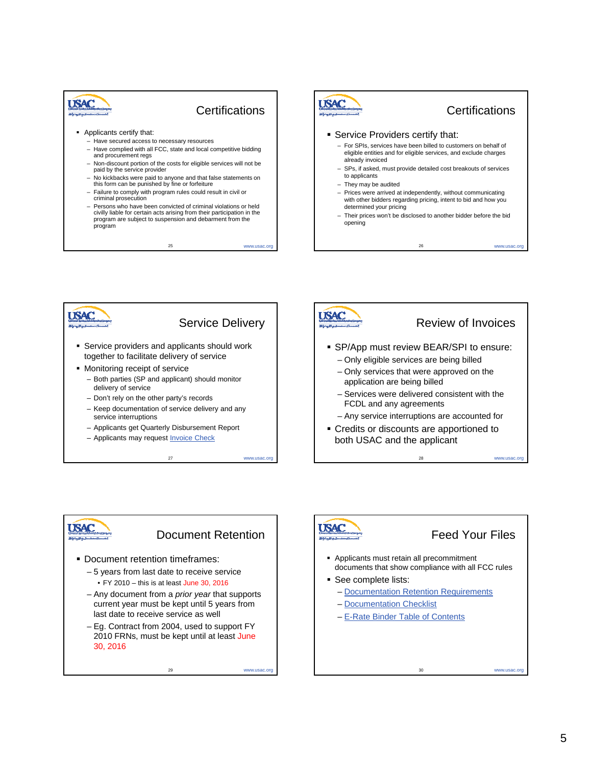

#### **Certifications**

25 www.usac.org

- **Applicants certify that:** 
	- Have secured access to necessary resources – Have complied with all FCC, state and local competitive bidding
	- and procurement regs – Non-discount portion of the costs for eligible services will not be
	- paid by the service provider paid by the service
	- No kickbacks were paid to anyone and that false statements on this form can be punished by fine or forfeiture
	- Failure to comply with program rules could result in civil or criminal prosecution
	- Persons who have been convicted of criminal violations or held civilly liable for certain acts arising from their participation in the program are subject to suspension and debarment from the program







#### Document Retention

www.usac.org

- **Document retention timeframes:** 
	- 5 years from last date to receive service • FY 2010 – this is at least June 30, 2016
	- Any document from a *prior year* that supports Any document from *prior* that current year must be kept until 5 years from last date to receive service as well
	- Eg. Contract from 2004, used to support FY 2010 FRNs, must be kept until at least June 30, 2016

29

**SAC** 

#### Feed Your Files

- Applicants must retain all precommitment documents that show compliance with all FCC rules
- **See complete lists:** 
	- Documentation Retention Requirements
	- Documentation Checklist
	- E-Rate Binder Table of Contents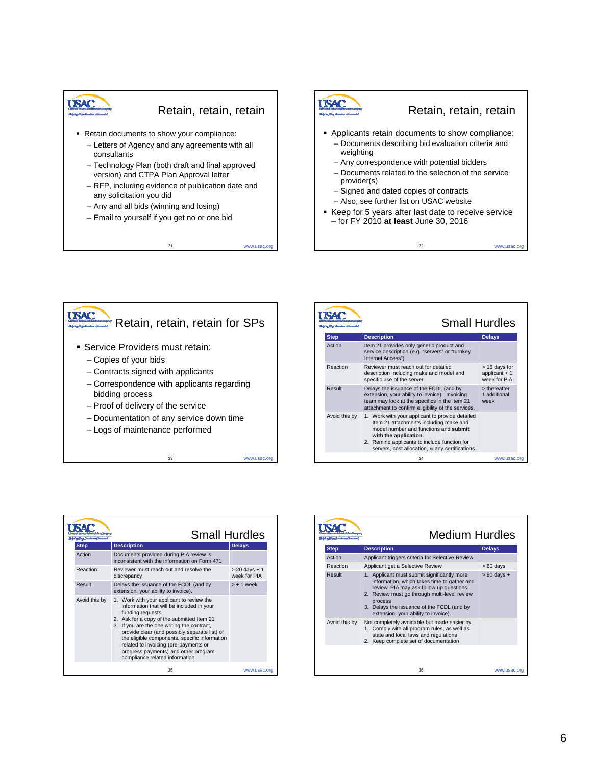## **USAC**

#### Retain, retain, retain

- Retain documents to show your compliance:
	- Letters of Agency and any agreements with all consultants
	- Technology Plan (both draft and final approved version) and CTPA Plan Approval letter
	- RFP, including evidence of publication date and any solicitation you did
	- Any and all bids (winning and losing)
	- Email to yourself if you get no or one bid





33

| <b>Small Hurdles</b> |                                                                                                                                                                                                                                                                |                                                 |  |
|----------------------|----------------------------------------------------------------------------------------------------------------------------------------------------------------------------------------------------------------------------------------------------------------|-------------------------------------------------|--|
| <b>Step</b>          | <b>Description</b>                                                                                                                                                                                                                                             | <b>Delays</b>                                   |  |
| Action               | Item 21 provides only generic product and<br>service description (e.g. "servers" or "turnkey<br>Internet Access")                                                                                                                                              |                                                 |  |
| Reaction             | Reviewer must reach out for detailed<br>description including make and model and<br>specific use of the server                                                                                                                                                 | > 15 days for<br>applicant $+1$<br>week for PIA |  |
| Result               | Delays the issuance of the FCDL (and by<br>extension, your ability to invoice). Invoicing<br>team may look at the specifics in the Item 21<br>attachment to confirm eligibility of the services.                                                               | > thereafter.<br>1 additional<br>week           |  |
| Avoid this by        | 1. Work with your applicant to provide detailed<br>Item 21 attachments including make and<br>model number and functions and submit<br>with the application.<br>2. Remind applicants to include function for<br>servers, cost allocation, & any certifications. |                                                 |  |
|                      | 34                                                                                                                                                                                                                                                             | www.usac.org                                    |  |

|               | <b>Small Hurdles</b>                                                                                                                                                                                                                                                                                                                                                                                                           |                                  |
|---------------|--------------------------------------------------------------------------------------------------------------------------------------------------------------------------------------------------------------------------------------------------------------------------------------------------------------------------------------------------------------------------------------------------------------------------------|----------------------------------|
| <b>Step</b>   | <b>Description</b>                                                                                                                                                                                                                                                                                                                                                                                                             | <b>Delays</b>                    |
| Action        | Documents provided during PIA review is<br>inconsistent with the information on Form 471                                                                                                                                                                                                                                                                                                                                       |                                  |
| Reaction      | Reviewer must reach out and resolve the<br>discrepancy                                                                                                                                                                                                                                                                                                                                                                         | $> 20$ days $+1$<br>week for PIA |
| Result        | Delays the issuance of the FCDL (and by<br>extension, your ability to invoice).                                                                                                                                                                                                                                                                                                                                                | $> + 1$ week                     |
| Avoid this by | 1. Work with your applicant to review the<br>information that will be included in your<br>funding requests.<br>2. Ask for a copy of the submitted Item 21<br>3. If you are the one writing the contract,<br>provide clear (and possibly separate list) of<br>the eligible components, specific information<br>related to invoicing (pre-payments or<br>progress payments) and other program<br>compliance related information. |                                  |
|               | 35                                                                                                                                                                                                                                                                                                                                                                                                                             | www.usac.org                     |

|               | <b>Medium Hurdles</b>                                                                                                                                                                                                                                                                   |                 |
|---------------|-----------------------------------------------------------------------------------------------------------------------------------------------------------------------------------------------------------------------------------------------------------------------------------------|-----------------|
| <b>Step</b>   | <b>Description</b>                                                                                                                                                                                                                                                                      | <b>Delays</b>   |
| Action        | Applicant triggers criteria for Selective Review                                                                                                                                                                                                                                        |                 |
| Reaction      | Applicant get a Selective Review                                                                                                                                                                                                                                                        | $>60$ days      |
| Result        | 1. Applicant must submit significantly more<br>information, which takes time to gather and<br>review. PIA may ask follow up questions.<br>2. Review must go through multi-level review<br>process<br>3. Delays the issuance of the FCDL (and by<br>extension, your ability to invoice). | $> 90$ days $+$ |
| Avoid this by | Not completely avoidable but made easier by<br>1. Comply with all program rules, as well as<br>state and local laws and regulations<br>2. Keep complete set of documentation                                                                                                            |                 |
|               | 36                                                                                                                                                                                                                                                                                      | www.usac.org    |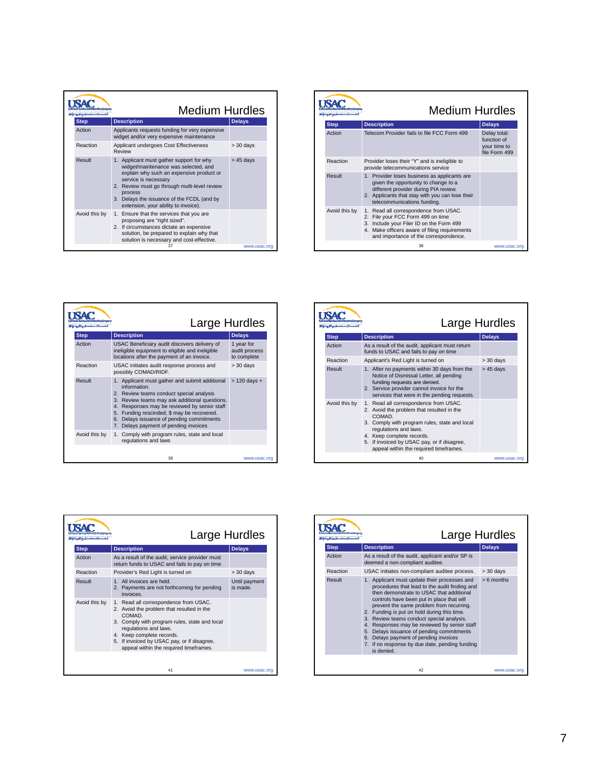|             |               | <b>Medium Hurdles</b>                                                                                                                                                                                                                                                                                 |               |
|-------------|---------------|-------------------------------------------------------------------------------------------------------------------------------------------------------------------------------------------------------------------------------------------------------------------------------------------------------|---------------|
| <b>Step</b> |               | <b>Description</b>                                                                                                                                                                                                                                                                                    | <b>Delays</b> |
| Action      |               | Applicants requests funding for very expensive<br>widget and/or very expensive maintenance                                                                                                                                                                                                            |               |
|             | Reaction      | Applicant undergoes Cost Effectiveness<br>Review                                                                                                                                                                                                                                                      | $>$ 30 days   |
| Result      |               | 1. Applicant must gather support for why<br>widget/maintenance was selected, and<br>explain why such an expensive product or<br>service is necessary<br>2. Review must go through multi-level review<br>process<br>3. Delays the issuance of the FCDL (and by<br>extension, your ability to invoice). | $> 45$ days   |
|             | Avoid this by | 1. Ensure that the services that you are<br>proposing are "right sized".<br>2. If circumstances dictate an expensive<br>solution, be prepared to explain why that<br>solution is necessary and cost-effective.                                                                                        |               |
|             |               | 37                                                                                                                                                                                                                                                                                                    | www.usac.org  |

|               | <b>Medium Hurdles</b>                                                                                                                                                                                                                 |                                                              |
|---------------|---------------------------------------------------------------------------------------------------------------------------------------------------------------------------------------------------------------------------------------|--------------------------------------------------------------|
| <b>Step</b>   | <b>Description</b>                                                                                                                                                                                                                    | <b>Delays</b>                                                |
| Action        | Telecom Provider fails to file FCC Form 499                                                                                                                                                                                           | Delay total:<br>function of<br>your time to<br>file Form 499 |
| Reaction      | Provider loses their "Y" and is ineligible to<br>provide telecommunications service                                                                                                                                                   |                                                              |
| Result        | 1. Provider loses business as applicants are<br>given the opportunity to change to a<br>different provider during PIA review.<br>2. Applicants that stay with you can lose their<br>telecommunications funding.                       |                                                              |
| Avoid this by | Read all correspondence from USAC.<br>1.<br>File your FCC Form 499 on time<br>2.<br>Include your Filer ID on the Form 499<br>3 <sub>1</sub><br>4. Make officers aware of filing requirements<br>and importance of the correspondence. |                                                              |
|               | 38                                                                                                                                                                                                                                    | www.usac.org                                                 |

|               | Large Hurdles                                                                                                                                                                                                                                                                                                                                  |                                            |
|---------------|------------------------------------------------------------------------------------------------------------------------------------------------------------------------------------------------------------------------------------------------------------------------------------------------------------------------------------------------|--------------------------------------------|
| <b>Step</b>   | <b>Description</b>                                                                                                                                                                                                                                                                                                                             | <b>Delays</b>                              |
| Action        | USAC Beneficiary audit discovers delivery of<br>ineligible equipment to eligible and ineligible<br>locations after the payment of an invoice.                                                                                                                                                                                                  | 1 year for<br>audit process<br>to complete |
| Reaction      | USAC initiates audit response process and<br>possibly COMAD/RIDF.                                                                                                                                                                                                                                                                              | $> 30$ days                                |
| Result        | 1. Applicant must gather and submit additional<br>information<br>2. Review teams conduct special analysis<br>3. Review teams may ask additional questions.<br>4. Responses may be reviewed by senior staff<br>5. Funding rescinded; \$ may be recovered.<br>6. Delays issuance of pending commitments<br>7. Delays payment of pending invoices | $> 120$ days +                             |
| Avoid this by | 1. Comply with program rules, state and local<br>regulations and laws                                                                                                                                                                                                                                                                          |                                            |
|               | 39                                                                                                                                                                                                                                                                                                                                             | www.usac.org                               |

|               | Large Hurdles                                                                                                                                                                                                                                                                                |               |
|---------------|----------------------------------------------------------------------------------------------------------------------------------------------------------------------------------------------------------------------------------------------------------------------------------------------|---------------|
| <b>Step</b>   | <b>Description</b>                                                                                                                                                                                                                                                                           | <b>Delays</b> |
| Action        | As a result of the audit, applicant must return<br>funds to USAC and fails to pay on time                                                                                                                                                                                                    |               |
| Reaction      | Applicant's Red Light is turned on                                                                                                                                                                                                                                                           | $> 30$ days   |
| Result        | 1. After no payments within 30 days from the<br>Notice of Dismissal Letter, all pending<br>funding requests are denied.<br>2. Service provider cannot invoice for the<br>services that were in the pending requests.                                                                         | $> 45$ days   |
| Avoid this by | 1. Read all correspondence from USAC.<br>2. Avoid the problem that resulted in the<br>COMAD.<br>3. Comply with program rules, state and local<br>regulations and laws.<br>4. Keep complete records.<br>5. If invoiced by USAC pay, or if disagree,<br>appeal within the required timeframes. |               |
|               | 40                                                                                                                                                                                                                                                                                           | www.usac.org  |

|               | Large Hurdles                                                                                                                                                                                                                                                                                              |                           |
|---------------|------------------------------------------------------------------------------------------------------------------------------------------------------------------------------------------------------------------------------------------------------------------------------------------------------------|---------------------------|
| <b>Step</b>   | <b>Description</b>                                                                                                                                                                                                                                                                                         | <b>Delays</b>             |
| Action        | As a result of the audit, service provider must<br>return funds to USAC and fails to pay on time                                                                                                                                                                                                           |                           |
| Reaction      | Provider's Red Light is turned on                                                                                                                                                                                                                                                                          | $>$ 30 days               |
| Result        | 1. All invoices are held.<br>2. Payments are not forthcoming for pending<br>invoices.                                                                                                                                                                                                                      | Until payment<br>is made. |
| Avoid this by | 1. Read all correspondence from USAC.<br>2. Avoid the problem that resulted in the<br>COMAD<br>3. Comply with program rules, state and local<br>regulations and laws.<br>4. Keep complete records.<br>If invoiced by USAC pay, or if disagree,<br>5 <sub>1</sub><br>appeal within the required timeframes. |                           |
|               | 41                                                                                                                                                                                                                                                                                                         | www.usac.org              |

|             | Large Hurdles                                                                                                                                                                                                                                                                                                                                                                                                                                                                                                                        |               |
|-------------|--------------------------------------------------------------------------------------------------------------------------------------------------------------------------------------------------------------------------------------------------------------------------------------------------------------------------------------------------------------------------------------------------------------------------------------------------------------------------------------------------------------------------------------|---------------|
| <b>Step</b> | <b>Description</b>                                                                                                                                                                                                                                                                                                                                                                                                                                                                                                                   | <b>Delays</b> |
| Action      | As a result of the audit, applicant and/or SP is<br>deemed a non-compliant auditee.                                                                                                                                                                                                                                                                                                                                                                                                                                                  |               |
| Reaction    | USAC initiates non-compliant auditee process.                                                                                                                                                                                                                                                                                                                                                                                                                                                                                        | $> 30$ days   |
| Result      | 1. Applicant must update their processes and<br>procedures that lead to the audit finding and<br>then demonstrate to USAC that additional<br>controls have been put in place that will<br>prevent the same problem from recurring.<br>2. Funding is put on hold during this time.<br>3. Review teams conduct special analysis.<br>4. Responses may be reviewed by senior staff<br>5. Delays issuance of pending commitments<br>6. Delays payment of pending invoices<br>7. If no response by due date, pending funding<br>is denied. | $> 6$ months  |
|             | 42                                                                                                                                                                                                                                                                                                                                                                                                                                                                                                                                   | www.usac.org  |